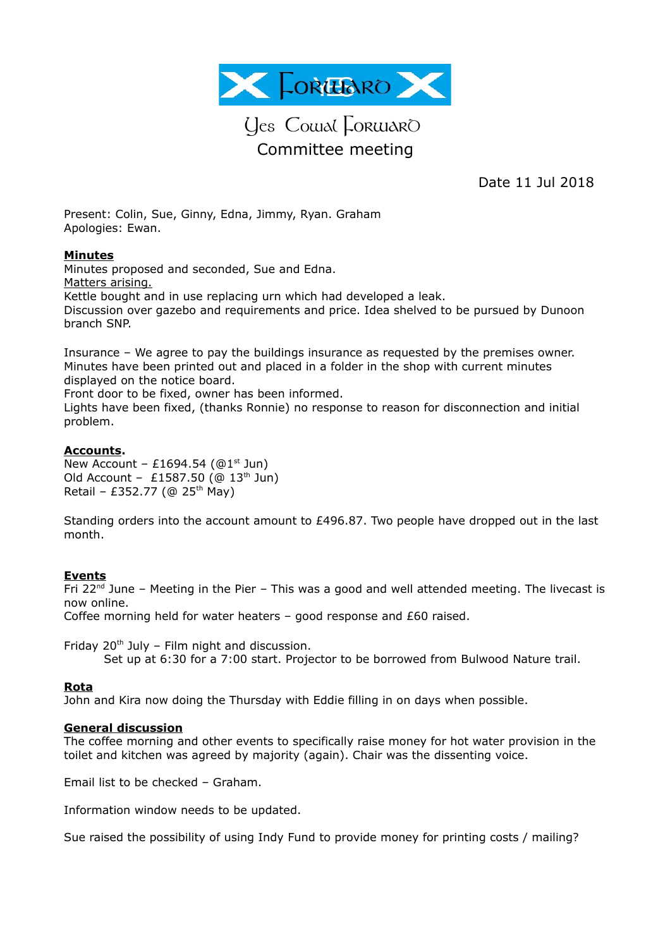

# Ues Cowal Lorwaro Committee meeting

Date 11 Jul 2018

Present: Colin, Sue, Ginny, Edna, Jimmy, Ryan. Graham Apologies: Ewan.

## **Minutes**

Minutes proposed and seconded, Sue and Edna. Matters arising. Kettle bought and in use replacing urn which had developed a leak. Discussion over gazebo and requirements and price. Idea shelved to be pursued by Dunoon branch SNP.

Insurance – We agree to pay the buildings insurance as requested by the premises owner. Minutes have been printed out and placed in a folder in the shop with current minutes displayed on the notice board.

Front door to be fixed, owner has been informed.

Lights have been fixed, (thanks Ronnie) no response to reason for disconnection and initial problem.

## **Accounts.**

New Account - £1694.54 ( $@1<sup>st</sup>$  Jun) Old Account - £1587.50 ( $@$  13<sup>th</sup> Jun) Retail – £352.77 (@ 25<sup>th</sup> May)

Standing orders into the account amount to £496.87. Two people have dropped out in the last month.

### **Events**

Fri 22<sup>nd</sup> June – Meeting in the Pier – This was a good and well attended meeting. The livecast is now online.

Coffee morning held for water heaters – good response and £60 raised.

Friday  $20<sup>th</sup>$  July – Film night and discussion.

Set up at 6:30 for a 7:00 start. Projector to be borrowed from Bulwood Nature trail.

### **Rota**

John and Kira now doing the Thursday with Eddie filling in on days when possible.

### **General discussion**

The coffee morning and other events to specifically raise money for hot water provision in the toilet and kitchen was agreed by majority (again). Chair was the dissenting voice.

Email list to be checked – Graham.

Information window needs to be updated.

Sue raised the possibility of using Indy Fund to provide money for printing costs / mailing?